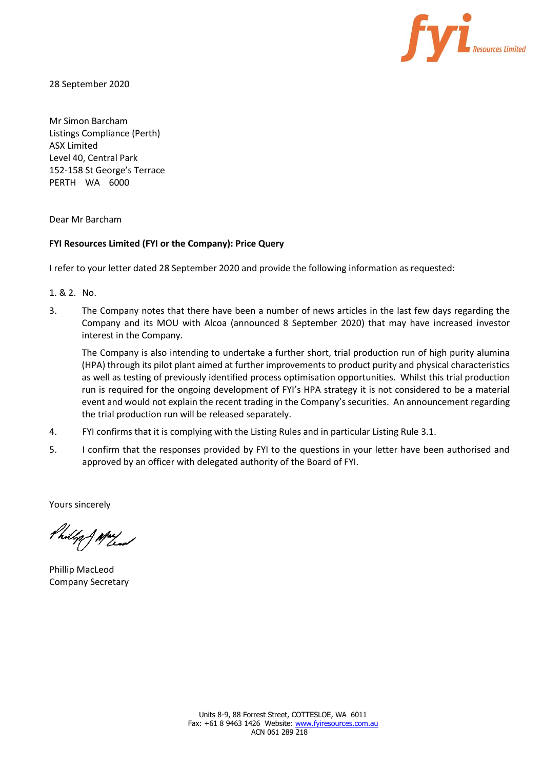

28 September 2020

Mr Simon Barcham Listings Compliance (Perth) ASX Limited Level 40, Central Park 152-158 St George's Terrace PERTH WA 6000

Dear Mr Barcham

# **FYI Resources Limited (FYI or the Company): Price Query**

I refer to your letter dated 28 September 2020 and provide the following information as requested:

1. & 2. No.

3. The Company notes that there have been a number of news articles in the last few days regarding the Company and its MOU with Alcoa (announced 8 September 2020) that may have increased investor interest in the Company.

The Company is also intending to undertake a further short, trial production run of high purity alumina (HPA) through its pilot plant aimed at further improvements to product purity and physical characteristics as well as testing of previously identified process optimisation opportunities. Whilst this trial production run is required for the ongoing development of FYI's HPA strategy it is not considered to be a material event and would not explain the recent trading in the Company's securities. An announcement regarding the trial production run will be released separately.

- 4. FYI confirms that it is complying with the Listing Rules and in particular Listing Rule 3.1.
- 5. I confirm that the responses provided by FYI to the questions in your letter have been authorised and approved by an officer with delegated authority of the Board of FYI.

Yours sincerely

Philip J May

Phillip MacLeod Company Secretary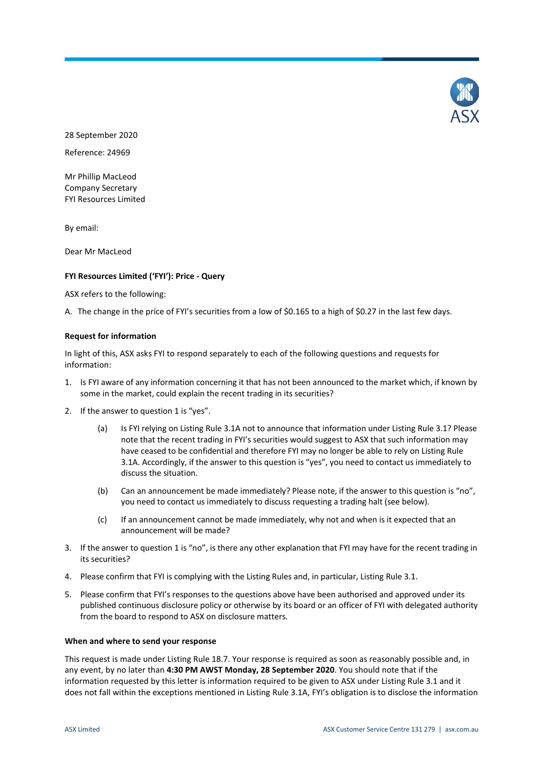

28 September 2020

Reference: 24969

Mr Phillip MacLeod Company Secretary FYI Resources Limited

By email:

Dear Mr MacLeod

## **FYI Resources Limited ('FYI'): Price - Query**

ASX refers to the following:

A. The change in the price of FYI's securities from a low of \$0.165 to a high of \$0.27 in the last few days.

### **Request for information**

In light of this, ASX asks FYI to respond separately to each of the following questions and requests for information:

- 1. Is FYI aware of any information concerning it that has not been announced to the market which, if known by some in the market, could explain the recent trading in its securities?
- 2. If the answer to question 1 is "yes".
	- (a) Is FYI relying on Listing Rule 3.1A not to announce that information under Listing Rule 3.1? Please note that the recent trading in FYI's securities would suggest to ASX that such information may have ceased to be confidential and therefore FYI may no longer be able to rely on Listing Rule 3.1A. Accordingly, if the answer to this question is "yes", you need to contact us immediately to discuss the situation.
	- (b) Can an announcement be made immediately? Please note, if the answer to this question is "no", you need to contact us immediately to discuss requesting a trading halt (see below).
	- (c) If an announcement cannot be made immediately, why not and when is it expected that an announcement will be made?
- 3. If the answer to question 1 is "no", is there any other explanation that FYI may have for the recent trading in its securities?
- 4. Please confirm that FYI is complying with the Listing Rules and, in particular, Listing Rule 3.1.
- 5. Please confirm that FYI's responses to the questions above have been authorised and approved under its published continuous disclosure policy or otherwise by its board or an officer of FYI with delegated authority from the board to respond to ASX on disclosure matters.

### **When and where to send your response**

This request is made under Listing Rule 18.7. Your response is required as soon as reasonably possible and, in any event, by no later than **4:30 PM AWST Monday, 28 September 2020**. You should note that if the information requested by this letter is information required to be given to ASX under Listing Rule 3.1 and it does not fall within the exceptions mentioned in Listing Rule 3.1A, FYI's obligation is to disclose the information